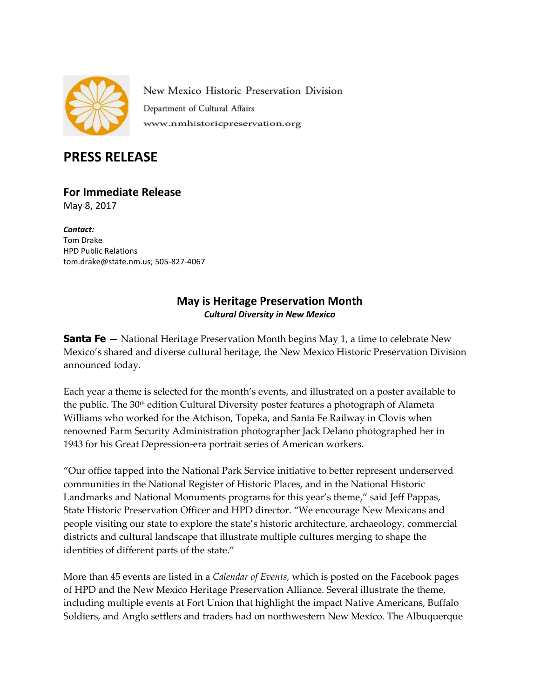

New Mexico Historic Preservation Division Department of Cultural Affairs www.nmhistoricpreservation.org

## **PRESS RELEASE**

## **For Immediate Release**

May 8, 2017

*Contact:* Tom Drake HPD Public Relations [tom.drake@state.nm.us;](mailto:tom.drake@state.nm.us) 505-827-4067

## **May is Heritage Preservation Month** *Cultural Diversity in New Mexico*

**Santa Fe —** National Heritage Preservation Month begins May 1, a time to celebrate New Mexico's shared and diverse cultural heritage, the New Mexico Historic Preservation Division announced today.

Each year a theme is selected for the month's events, and illustrated on a poster available to the public. The  $30<sup>th</sup>$  edition Cultural Diversity poster features a photograph of Alameta Williams who worked for the Atchison, Topeka, and Santa Fe Railway in Clovis when renowned Farm Security Administration photographer Jack Delano photographed her in 1943 for his Great Depression-era portrait series of American workers.

"Our office tapped into the National Park Service initiative to better represent underserved communities in the National Register of Historic Places, and in the National Historic Landmarks and National Monuments programs for this year's theme," said Jeff Pappas, State Historic Preservation Officer and HPD director. "We encourage New Mexicans and people visiting our state to explore the state's historic architecture, archaeology, commercial districts and cultural landscape that illustrate multiple cultures merging to shape the identities of different parts of the state."

More than 45 events are listed in a *Calendar of Events,* which is posted on the Facebook pages of HPD and the New Mexico Heritage Preservation Alliance. Several illustrate the theme, including multiple events at Fort Union that highlight the impact Native Americans, Buffalo Soldiers, and Anglo settlers and traders had on northwestern New Mexico. The Albuquerque